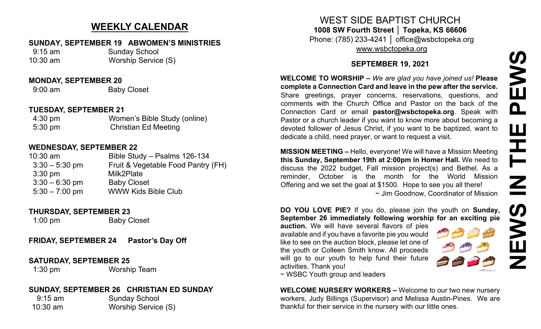# **NEWS IN THE PEWS**PEWS Ш F  $\mathbf{Z}$ EWS  $\overline{z}$

# **WEEKLY CALENDAR**

#### **SUNDAY, SEPTEMBER 19 ABWOMEN'S MINISTRIES**

 9:15 am Sunday School 10:30 am Worship Service (S)

#### **MONDAY, SEPTEMBER 20**

9:00 am Baby Closet

#### **TUESDAY, SEPTEMBER 21**

| $4:30 \text{ pm}$ | Women's Bible Study (online) |
|-------------------|------------------------------|
| $5:30 \text{ pm}$ | <b>Christian Ed Meeting</b>  |

#### **WEDNESDAY, SEPTEMBER 22**

| $10:30$ am        | Bible Study - Psalms 126-134       |
|-------------------|------------------------------------|
| $3:30 - 5:30$ pm  | Fruit & Vegetable Food Pantry (FH) |
| $3:30 \text{ pm}$ | Milk2Plate                         |
| $3:30 - 6:30$ pm  | <b>Baby Closet</b>                 |
| $5:30 - 7:00$ pm  | <b>WWW Kids Bible Club</b>         |

#### **THURSDAY, SEPTEMBER 23**

1:00 pm Baby Closet

**FRIDAY, SEPTEMBER 24 Pastor's Day Off**

#### **SATURDAY, SEPTEMBER 25**

1:30 pm Worship Team

## **SUNDAY, SEPTEMBER 26 CHRISTIAN ED SUNDAY**

9:15 am Sunday School 10:30 am Worship Service (S)

WEST SIDE BAPTIST CHURCH **1008 SW Fourth Street │ Topeka, KS 66606** Phone: (785) 233-4241 │ office@wsbctopeka.org [www.wsbctopeka.org](http://www.wsbctopeka.org/)

## **SEPTEMBER 19, 2021**

**WELCOME TO WORSHIP –** *We are glad you have joined us!* **Please complete a Connection Card and leave in the pew after the service.** Share greetings, prayer concerns, reservations, questions, and comments with the Church Office and Pastor on the back of the Connection Card or email **pastor@wsbctopeka.org**. [S](https://www.facebook.com/ivangreuter.)peak with Pastor or a church leader if you want to know more about becoming a devoted follower of Jesus Christ, if you want to be baptized, want to dedicate a child, need prayer, or want to request a visit.

**MISSION MEETING –** Hello, everyone! We will have a Mission Meeting **this Sunday, September 19th at 2:00pm in Homer Hall.** We need to discuss the 2022 budget, Fall mission project(s) and Bethel. As a reminder, October is the month for the World Mission Offering and we set the goal at \$1500. Hope to see you all there! ~ Jim Goodnow, Coordinator of Mission

**DO YOU LOVE PIE?** If you do, please join the youth on **Sunday, September 26 immediately following worship for an exciting pie** 

**auction.** We will have several flavors of pies available and if you have a favorite pie you would like to see on the auction block, please let one of the youth or Colleen Smith know. All proceeds will go to our youth to help fund their future activities. Thank you!



~ WSBC Youth group and leaders

**WELCOME NURSERY WORKERS –** Welcome to our two new nursery workers, Judy Billings (Supervisor) and Melissa Austin-Pines. We are thankful for their service in the nursery with our little ones.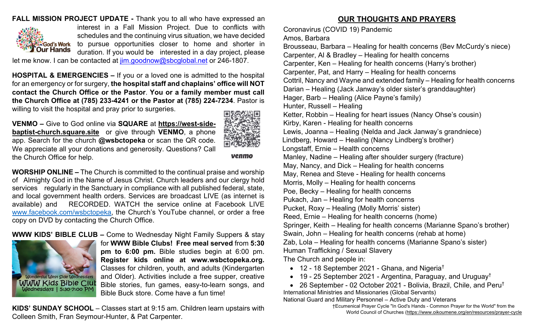## **FALL MISSION PROJECT UPDATE -** Thank you to all who have expressed an



interest in a Fall Mission Project. Due to conflicts with schedules and the continuing virus situation, we have decided to pursue opportunities closer to home and shorter in duration. If you would be interested in a day project, please

let me know. I can be contacted at [jim.goodnow@sbcglobal.net](mailto:jim.goodnow@sbcglobal.net) or 246-1807.

**HOSPITAL & EMERGENCIES –** If you or a loved one is admitted to the hospital for an emergency or for surgery, **the hospital staff and chaplains' office will NOT contact the Church Office or the Pastor**. **You or a family member must call the Church Office at (785) 233-4241 or the Pastor at (785) 224-7234**. Pastor is willing to visit the hospital and pray prior to surgeries.

**VENMO –** Give to God online via **SQUARE** at **[https://west](https://west-side-baptist-church.square.site/)-sidebaptist-[church.square.site](https://west-side-baptist-church.square.site/)** or give through **VENMO**, a phone app. Search for the church **@wsbctopeka** or scan the QR code. We appreciate all your donations and generosity. Questions? Call the Church Office for help.



venmo

**WORSHIP ONLINE –** The Church is committed to the continual praise and worship of Almighty God in the Name of Jesus Christ. Church leaders and our clergy hold services regularly in the Sanctuary in compliance with all published federal, state, and local government health orders. Services are broadcast LIVE (as internet is available) and RECORDED. WATCH the service online at Facebook LIVE [www.facebook.com/wsbctopeka](http://www.facebook.com/wsbctopeka), the Church's YouTube channel, or order a free copy on DVD by contacting the Church Office.

**WWW KIDS' BIBLE CLUB –** Come to Wednesday Night Family Suppers & stay



for **WWW Bible Clubs! Free meal served** from **5:30 pm to 6:00 pm.** Bible studies begin at 6:00 pm. **Register kids online at www.wsbctopeka.org.**  Classes for children, youth, and adults (Kindergarten and Older). Activities include a free supper, creative Bible stories, fun games, easy-to-learn songs, and Bible Buck store. Come have a fun time!

**KIDS' SUNDAY SCHOOL** – Classes start at 9:15 am. Children learn upstairs with Colleen Smith, Fran Seymour-Hunter, & Pat Carpenter.

## **OUR THOUGHTS AND PRAYERS**

Coronavirus (COVID 19) Pandemic

Amos, Barbara Brousseau, Barbara – Healing for health concerns (Bev McCurdy's niece) Carpenter, Al & Bradley – Healing for health concerns Carpenter, Ken – Healing for health concerns (Harry's brother) Carpenter, Pat, and Harry – Healing for health concerns Cottril, Nancy and Wayne and extended family – Healing for health concerns Darian – Healing (Jack Janway's older sister's granddaughter) Hager, Barb – Healing (Alice Payne's family) Hunter, Russell – Healing Ketter, Robbin – Healing for heart issues (Nancy Ohse's cousin) Kirby, Karen - Healing for health concerns Lewis, Joanna – Healing (Nelda and Jack Janway's grandniece) Lindberg, Howard – Healing (Nancy Lindberg's brother) Longstaff, Ernie – Health concerns Manley, Nadine – Healing after shoulder surgery (fracture) May, Nancy, and Dick – Healing for health concerns May, Renea and Steve - Healing for health concerns Morris, Molly – Healing for health concerns Poe, Becky – Healing for health concerns Pukach, Jan – Healing for health concerns Pucket, Roxy – Healing (Molly Morris' sister) Reed, Ernie – Healing for health concerns (home) Springer, Keith – Healing for health concerns (Marianne Spano's brother) Swain, John – Healing for health concerns (rehab at home) Zab, Lola – Healing for health concerns (Marianne Spano's sister) Human Trafficking / Sexual Slavery The Church and people in:

- 12 18 September 2021 Ghana, and Nigeria<sup>†</sup>
- 19 25 September 2021 Argentina, Paraguay, and Uruguay<sup>†</sup>

• 26 September - 02 October 2021 - Bolivia, Brazil, Chile, and Peru<sup>†</sup> International Ministries and Missionaries (Global Servants) National Guard and Military Personnel – Active Duty and Veterans

†Ecumenical Prayer Cycle "In God's Hands - Common Prayer for the World" from the World Council of Churches [\(https://www.oikoumene.org/en/resources/prayer](https://www.oikoumene.org/en/resources/prayer-cycle)-cycle